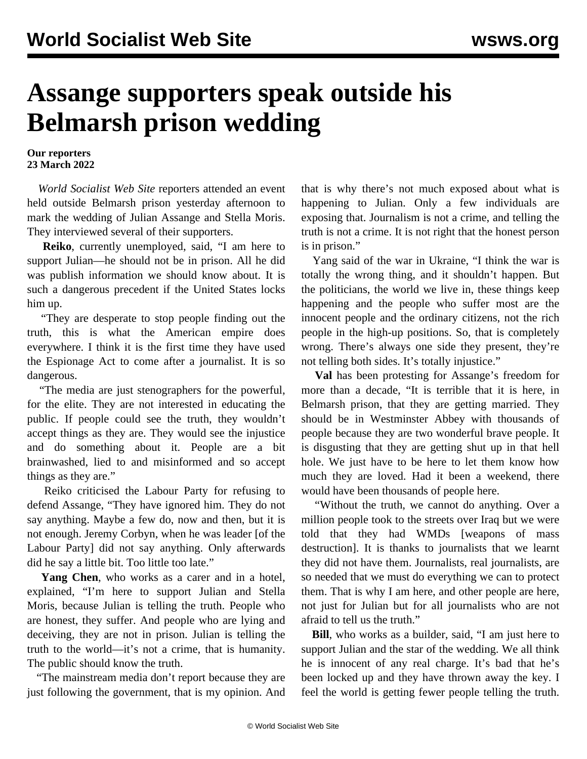## **Assange supporters speak outside his Belmarsh prison wedding**

## **Our reporters 23 March 2022**

 *World Socialist Web Site* reporters attended an event held outside Belmarsh prison yesterday afternoon to mark the wedding of Julian Assange and Stella Moris. They interviewed several of their supporters.

 **Reiko**, currently unemployed, said, "I am here to support Julian—he should not be in prison. All he did was publish information we should know about. It is such a dangerous precedent if the United States locks him up.

 "They are desperate to stop people finding out the truth, this is what the American empire does everywhere. I think it is the first time they have used the Espionage Act to come after a journalist. It is so dangerous.

 "The media are just stenographers for the powerful, for the elite. They are not interested in educating the public. If people could see the truth, they wouldn't accept things as they are. They would see the injustice and do something about it. People are a bit brainwashed, lied to and misinformed and so accept things as they are."

 Reiko criticised the Labour Party for refusing to defend Assange, "They have ignored him. They do not say anything. Maybe a few do, now and then, but it is not enough. Jeremy Corbyn, when he was leader [of the Labour Party] did not say anything. Only afterwards did he say a little bit. Too little too late."

 **Yang Chen**, who works as a carer and in a hotel, explained, "I'm here to support Julian and Stella Moris, because Julian is telling the truth. People who are honest, they suffer. And people who are lying and deceiving, they are not in prison. Julian is telling the truth to the world—it's not a crime, that is humanity. The public should know the truth.

 "The mainstream media don't report because they are just following the government, that is my opinion. And that is why there's not much exposed about what is happening to Julian. Only a few individuals are exposing that. Journalism is not a crime, and telling the truth is not a crime. It is not right that the honest person is in prison."

 Yang said of the war in Ukraine, "I think the war is totally the wrong thing, and it shouldn't happen. But the politicians, the world we live in, these things keep happening and the people who suffer most are the innocent people and the ordinary citizens, not the rich people in the high-up positions. So, that is completely wrong. There's always one side they present, they're not telling both sides. It's totally injustice."

 **Val** has been protesting for Assange's freedom for more than a decade, "It is terrible that it is here, in Belmarsh prison, that they are getting married. They should be in Westminster Abbey with thousands of people because they are two wonderful brave people. It is disgusting that they are getting shut up in that hell hole. We just have to be here to let them know how much they are loved. Had it been a weekend, there would have been thousands of people here.

 "Without the truth, we cannot do anything. Over a million people took to the streets over Iraq but we were told that they had WMDs [weapons of mass destruction]. It is thanks to journalists that we learnt they did not have them. Journalists, real journalists, are so needed that we must do everything we can to protect them. That is why I am here, and other people are here, not just for Julian but for all journalists who are not afraid to tell us the truth."

 **Bill**, who works as a builder, said, "I am just here to support Julian and the star of the wedding. We all think he is innocent of any real charge. It's bad that he's been locked up and they have thrown away the key. I feel the world is getting fewer people telling the truth.